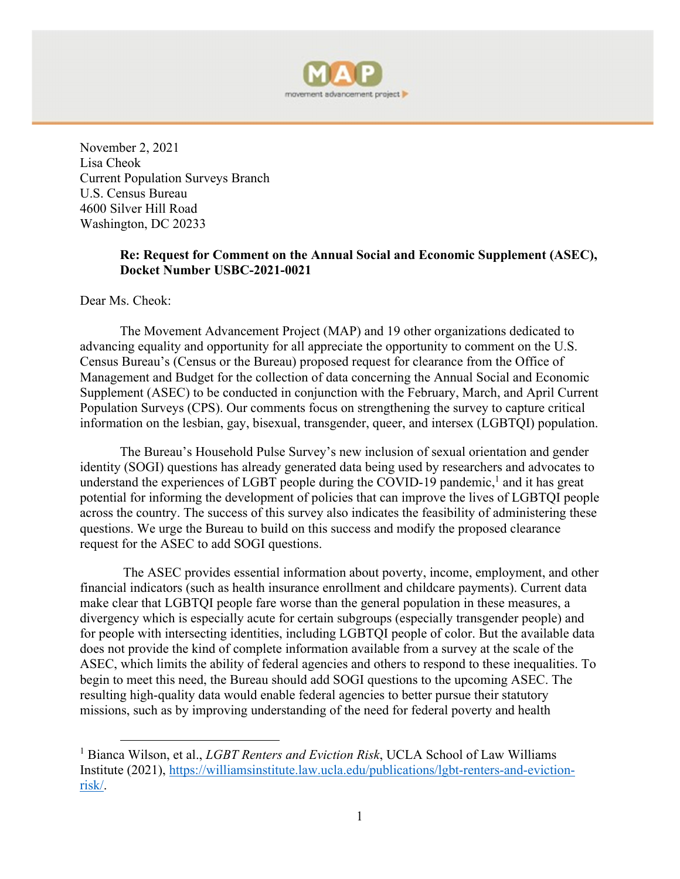

November 2, 2021 Lisa Cheok Current Population Surveys Branch U.S. Census Bureau 4600 Silver Hill Road Washington, DC 20233

### **Re: Request for Comment on the Annual Social and Economic Supplement (ASEC), Docket Number USBC-2021-0021**

Dear Ms. Cheok:

The Movement Advancement Project (MAP) and 19 other organizations dedicated to advancing equality and opportunity for all appreciate the opportunity to comment on the U.S. Census Bureau's (Census or the Bureau) proposed request for clearance from the Office of Management and Budget for the collection of data concerning the Annual Social and Economic Supplement (ASEC) to be conducted in conjunction with the February, March, and April Current Population Surveys (CPS). Our comments focus on strengthening the survey to capture critical information on the lesbian, gay, bisexual, transgender, queer, and intersex (LGBTQI) population.

The Bureau's Household Pulse Survey's new inclusion of sexual orientation and gender identity (SOGI) questions has already generated data being used by researchers and advocates to understand the experiences of LGBT people during the COVID-19 pandemic,<sup>1</sup> and it has great potential for informing the development of policies that can improve the lives of LGBTQI people across the country. The success of this survey also indicates the feasibility of administering these questions. We urge the Bureau to build on this success and modify the proposed clearance request for the ASEC to add SOGI questions.

 The ASEC provides essential information about poverty, income, employment, and other financial indicators (such as health insurance enrollment and childcare payments). Current data make clear that LGBTQI people fare worse than the general population in these measures, a divergency which is especially acute for certain subgroups (especially transgender people) and for people with intersecting identities, including LGBTQI people of color. But the available data does not provide the kind of complete information available from a survey at the scale of the ASEC, which limits the ability of federal agencies and others to respond to these inequalities. To begin to meet this need, the Bureau should add SOGI questions to the upcoming ASEC. The resulting high-quality data would enable federal agencies to better pursue their statutory missions, such as by improving understanding of the need for federal poverty and health

<sup>&</sup>lt;sup>1</sup> Bianca Wilson, et al., *LGBT Renters and Eviction Risk*, UCLA School of Law Williams Institute (2021), https://williamsinstitute.law.ucla.edu/publications/lgbt-renters-and-evictionrisk/.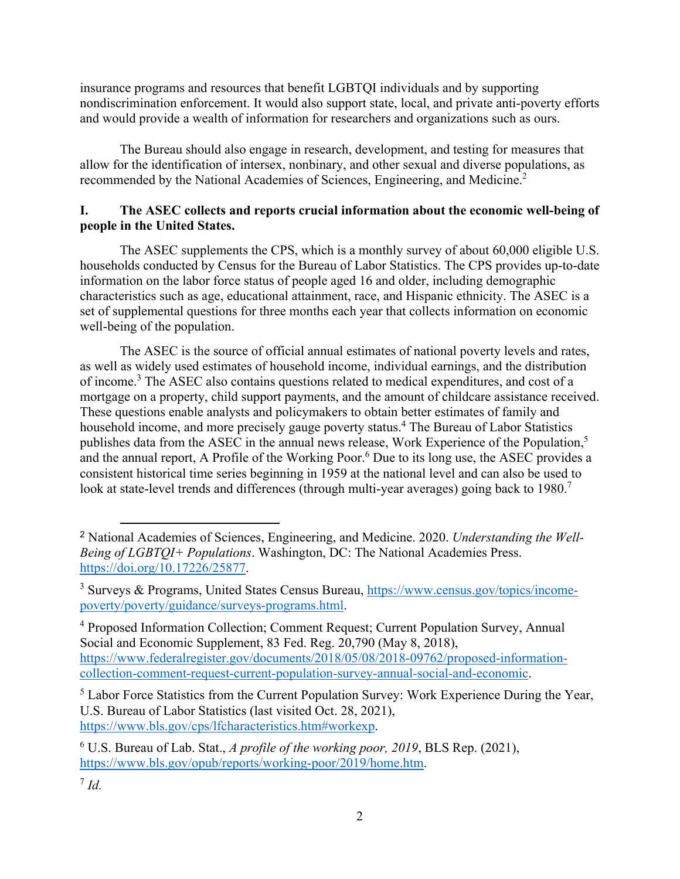insurance programs and resources that benefit LGBTQI individuals and by supporting nondiscrimination enforcement. It would also support state, local, and private anti-poverty efforts and would provide a wealth of information for researchers and organizations such as ours.

The Bureau should also engage in research, development, and testing for measures that allow for the identification of intersex, nonbinary, and other sexual and diverse populations, as recommended by the National Academies of Sciences, Engineering, and Medicine.2

# **I. The ASEC collects and reports crucial information about the economic well-being of people in the United States.**

The ASEC supplements the CPS, which is a monthly survey of about 60,000 eligible U.S. households conducted by Census for the Bureau of Labor Statistics. The CPS provides up-to-date information on the labor force status of people aged 16 and older, including demographic characteristics such as age, educational attainment, race, and Hispanic ethnicity. The ASEC is a set of supplemental questions for three months each year that collects information on economic well-being of the population.

The ASEC is the source of official annual estimates of national poverty levels and rates, as well as widely used estimates of household income, individual earnings, and the distribution of income.<sup>3</sup> The ASEC also contains questions related to medical expenditures, and cost of a mortgage on a property, child support payments, and the amount of childcare assistance received. These questions enable analysts and policymakers to obtain better estimates of family and household income, and more precisely gauge poverty status.<sup>4</sup> The Bureau of Labor Statistics publishes data from the ASEC in the annual news release, Work Experience of the Population,<sup>5</sup> and the annual report, A Profile of the Working Poor.<sup>6</sup> Due to its long use, the ASEC provides a consistent historical time series beginning in 1959 at the national level and can also be used to look at state-level trends and differences (through multi-year averages) going back to 1980.<sup>7</sup>

<sup>4</sup> Proposed Information Collection; Comment Request; Current Population Survey, Annual Social and Economic Supplement, 83 Fed. Reg. 20,790 (May 8, 2018), https://www.federalregister.gov/documents/2018/05/08/2018-09762/proposed-informationcollection-comment-request-current-population-survey-annual-social-and-economic.

<sup>5</sup> Labor Force Statistics from the Current Population Survey: Work Experience During the Year, U.S. Bureau of Labor Statistics (last visited Oct. 28, 2021), https://www.bls.gov/cps/lfcharacteristics.htm#workexp.

<sup>2</sup> National Academies of Sciences, Engineering, and Medicine. 2020. *Understanding the Well-Being of LGBTQI+ Populations*. Washington, DC: The National Academies Press. https://doi.org/10.17226/25877.

<sup>&</sup>lt;sup>3</sup> Surveys & Programs, United States Census Bureau, https://www.census.gov/topics/incomepoverty/poverty/guidance/surveys-programs.html.

<sup>6</sup> U.S. Bureau of Lab. Stat., *A profile of the working poor, 2019*, BLS Rep. (2021), https://www.bls.gov/opub/reports/working-poor/2019/home.htm.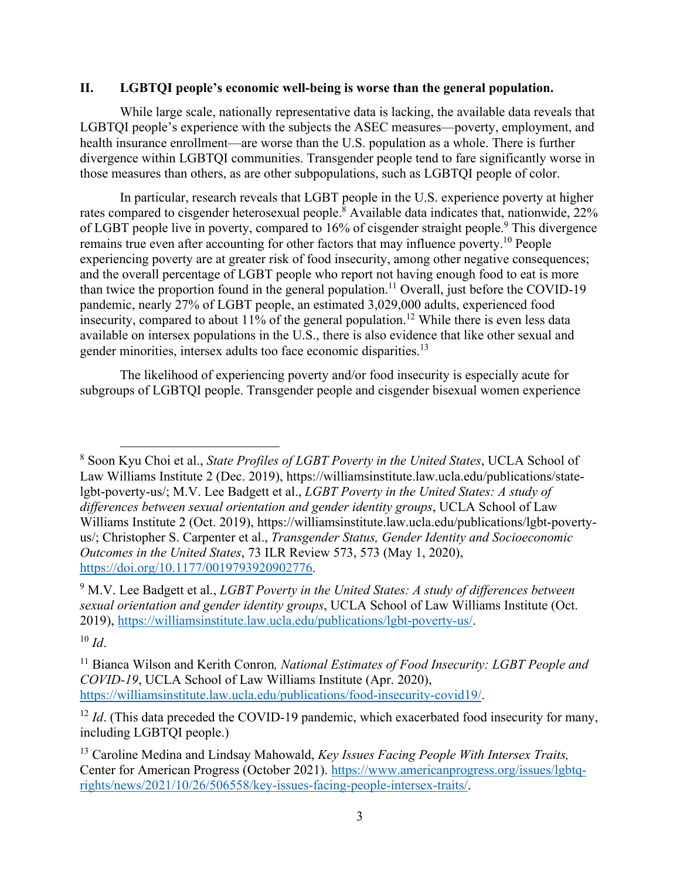#### **II. LGBTQI people's economic well-being is worse than the general population.**

While large scale, nationally representative data is lacking, the available data reveals that LGBTQI people's experience with the subjects the ASEC measures—poverty, employment, and health insurance enrollment—are worse than the U.S. population as a whole. There is further divergence within LGBTQI communities. Transgender people tend to fare significantly worse in those measures than others, as are other subpopulations, such as LGBTQI people of color.

In particular, research reveals that LGBT people in the U.S. experience poverty at higher rates compared to cisgender heterosexual people.<sup>8</sup> Available data indicates that, nationwide, 22% of LGBT people live in poverty, compared to  $16\%$  of cisgender straight people.<sup>9</sup> This divergence remains true even after accounting for other factors that may influence poverty.<sup>10</sup> People experiencing poverty are at greater risk of food insecurity, among other negative consequences; and the overall percentage of LGBT people who report not having enough food to eat is more than twice the proportion found in the general population.<sup>11</sup> Overall, just before the COVID-19 pandemic, nearly 27% of LGBT people, an estimated 3,029,000 adults, experienced food insecurity, compared to about  $11\%$  of the general population.<sup>12</sup> While there is even less data available on intersex populations in the U.S., there is also evidence that like other sexual and gender minorities, intersex adults too face economic disparities.<sup>13</sup>

The likelihood of experiencing poverty and/or food insecurity is especially acute for subgroups of LGBTQI people. Transgender people and cisgender bisexual women experience

<sup>8</sup> Soon Kyu Choi et al., *State Profiles of LGBT Poverty in the United States*, UCLA School of Law Williams Institute 2 (Dec. 2019), https://williamsinstitute.law.ucla.edu/publications/statelgbt-poverty-us/; M.V. Lee Badgett et al., *LGBT Poverty in the United States: A study of differences between sexual orientation and gender identity groups*, UCLA School of Law Williams Institute 2 (Oct. 2019), https://williamsinstitute.law.ucla.edu/publications/lgbt-povertyus/; Christopher S. Carpenter et al., *Transgender Status, Gender Identity and Socioeconomic Outcomes in the United States*, 73 ILR Review 573, 573 (May 1, 2020), https://doi.org/10.1177/0019793920902776.

<sup>9</sup> M.V. Lee Badgett et al., *LGBT Poverty in the United States: A study of differences between sexual orientation and gender identity groups*, UCLA School of Law Williams Institute (Oct. 2019), https://williamsinstitute.law.ucla.edu/publications/lgbt-poverty-us/.

 $10 \, \text{Id}$ .

<sup>11</sup> Bianca Wilson and Kerith Conron*, National Estimates of Food Insecurity: LGBT People and COVID-19*, UCLA School of Law Williams Institute (Apr. 2020), https://williamsinstitute.law.ucla.edu/publications/food-insecurity-covid19/.

<sup>&</sup>lt;sup>12</sup> *Id.* (This data preceded the COVID-19 pandemic, which exacerbated food insecurity for many, including LGBTQI people.)

<sup>13</sup> Caroline Medina and Lindsay Mahowald, *Key Issues Facing People With Intersex Traits,*  Center for American Progress (October 2021). https://www.americanprogress.org/issues/lgbtqrights/news/2021/10/26/506558/key-issues-facing-people-intersex-traits/.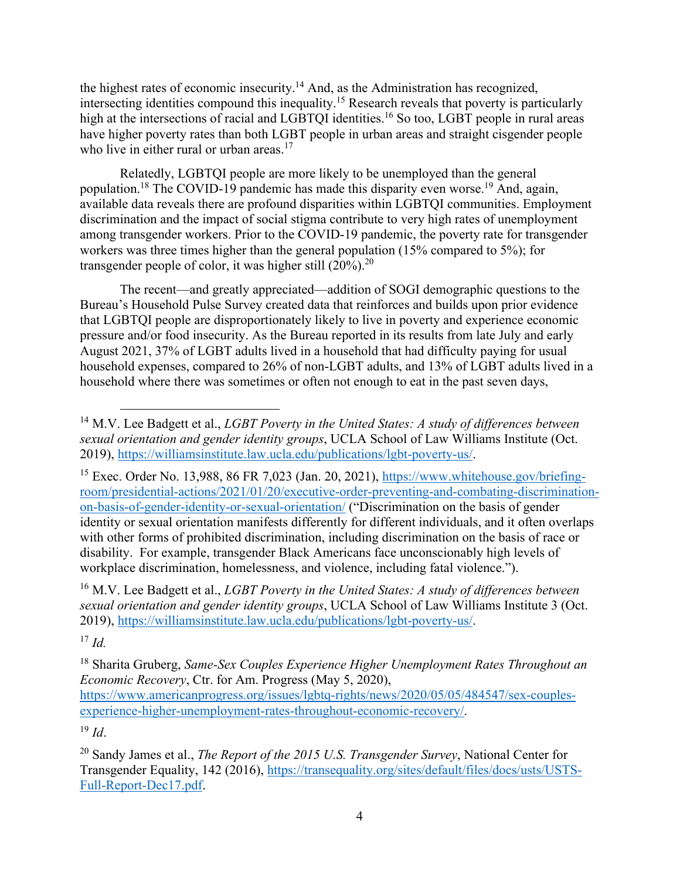the highest rates of economic insecurity.14 And, as the Administration has recognized, intersecting identities compound this inequality.15 Research reveals that poverty is particularly high at the intersections of racial and LGBTQI identities.<sup>16</sup> So too, LGBT people in rural areas have higher poverty rates than both LGBT people in urban areas and straight cisgender people who live in either rural or urban areas.<sup>17</sup>

Relatedly, LGBTQI people are more likely to be unemployed than the general population.<sup>18</sup> The COVID-19 pandemic has made this disparity even worse.<sup>19</sup> And, again, available data reveals there are profound disparities within LGBTQI communities. Employment discrimination and the impact of social stigma contribute to very high rates of unemployment among transgender workers. Prior to the COVID-19 pandemic, the poverty rate for transgender workers was three times higher than the general population (15% compared to 5%); for transgender people of color, it was higher still  $(20\%)$ .<sup>20</sup>

The recent—and greatly appreciated—addition of SOGI demographic questions to the Bureau's Household Pulse Survey created data that reinforces and builds upon prior evidence that LGBTQI people are disproportionately likely to live in poverty and experience economic pressure and/or food insecurity. As the Bureau reported in its results from late July and early August 2021, 37% of LGBT adults lived in a household that had difficulty paying for usual household expenses, compared to 26% of non-LGBT adults, and 13% of LGBT adults lived in a household where there was sometimes or often not enough to eat in the past seven days,

<sup>15</sup> Exec. Order No. 13,988, 86 FR 7,023 (Jan. 20, 2021), https://www.whitehouse.gov/briefingroom/presidential-actions/2021/01/20/executive-order-preventing-and-combating-discriminationon-basis-of-gender-identity-or-sexual-orientation/ ("Discrimination on the basis of gender identity or sexual orientation manifests differently for different individuals, and it often overlaps with other forms of prohibited discrimination, including discrimination on the basis of race or disability. For example, transgender Black Americans face unconscionably high levels of workplace discrimination, homelessness, and violence, including fatal violence.").

16 M.V. Lee Badgett et al., *LGBT Poverty in the United States: A study of differences between sexual orientation and gender identity groups*, UCLA School of Law Williams Institute 3 (Oct. 2019), https://williamsinstitute.law.ucla.edu/publications/lgbt-poverty-us/.

 $17$  *Id.* 

18 Sharita Gruberg, *Same-Sex Couples Experience Higher Unemployment Rates Throughout an Economic Recovery*, Ctr. for Am. Progress (May 5, 2020),

https://www.americanprogress.org/issues/lgbtq-rights/news/2020/05/05/484547/sex-couplesexperience-higher-unemployment-rates-throughout-economic-recovery/.

<sup>19</sup> *Id*.

<sup>14</sup> M.V. Lee Badgett et al., *LGBT Poverty in the United States: A study of differences between sexual orientation and gender identity groups*, UCLA School of Law Williams Institute (Oct. 2019), https://williamsinstitute.law.ucla.edu/publications/lgbt-poverty-us/.

<sup>20</sup> Sandy James et al., *The Report of the 2015 U.S. Transgender Survey*, National Center for Transgender Equality, 142 (2016), https://transequality.org/sites/default/files/docs/usts/USTS-Full-Report-Dec17.pdf.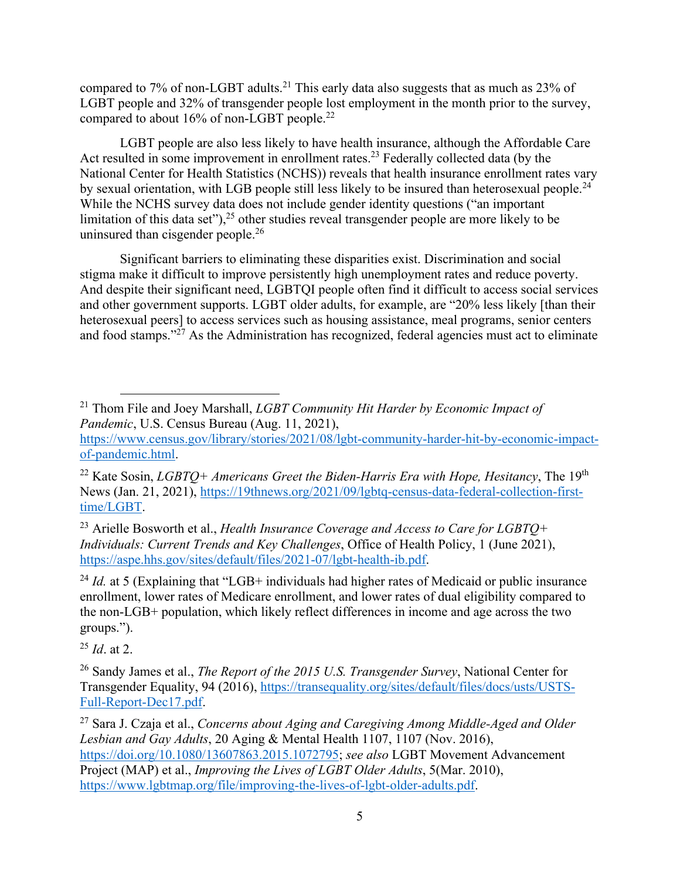compared to 7% of non-LGBT adults.<sup>21</sup> This early data also suggests that as much as 23% of LGBT people and 32% of transgender people lost employment in the month prior to the survey, compared to about 16% of non-LGBT people.<sup>22</sup>

LGBT people are also less likely to have health insurance, although the Affordable Care Act resulted in some improvement in enrollment rates.<sup>23</sup> Federally collected data (by the National Center for Health Statistics (NCHS)) reveals that health insurance enrollment rates vary by sexual orientation, with LGB people still less likely to be insured than heterosexual people.<sup>24</sup> While the NCHS survey data does not include gender identity questions ("an important limitation of this data set"),  $2^5$  other studies reveal transgender people are more likely to be uninsured than cisgender people.<sup>26</sup>

Significant barriers to eliminating these disparities exist. Discrimination and social stigma make it difficult to improve persistently high unemployment rates and reduce poverty. And despite their significant need, LGBTQI people often find it difficult to access social services and other government supports. LGBT older adults, for example, are "20% less likely [than their heterosexual peers] to access services such as housing assistance, meal programs, senior centers and food stamps. $127$  As the Administration has recognized, federal agencies must act to eliminate

<sup>25</sup> *Id*. at 2.

<sup>21</sup> Thom File and Joey Marshall, *LGBT Community Hit Harder by Economic Impact of Pandemic*, U.S. Census Bureau (Aug. 11, 2021),

https://www.census.gov/library/stories/2021/08/lgbt-community-harder-hit-by-economic-impactof-pandemic.html.

<sup>&</sup>lt;sup>22</sup> Kate Sosin, *LGBTQ+ Americans Greet the Biden-Harris Era with Hope, Hesitancy*, The 19<sup>th</sup> News (Jan. 21, 2021), https://19thnews.org/2021/09/lgbtq-census-data-federal-collection-firsttime/LGBT.

<sup>23</sup> Arielle Bosworth et al., *Health Insurance Coverage and Access to Care for LGBTQ+ Individuals: Current Trends and Key Challenges*, Office of Health Policy, 1 (June 2021), https://aspe.hhs.gov/sites/default/files/2021-07/lgbt-health-ib.pdf.

<sup>&</sup>lt;sup>24</sup> *Id.* at 5 (Explaining that "LGB+ individuals had higher rates of Medicaid or public insurance enrollment, lower rates of Medicare enrollment, and lower rates of dual eligibility compared to the non‐LGB+ population, which likely reflect differences in income and age across the two groups.").

<sup>26</sup> Sandy James et al., *The Report of the 2015 U.S. Transgender Survey*, National Center for Transgender Equality, 94 (2016), https://transequality.org/sites/default/files/docs/usts/USTS-Full-Report-Dec17.pdf.

<sup>27</sup> Sara J. Czaja et al., *Concerns about Aging and Caregiving Among Middle-Aged and Older Lesbian and Gay Adults*, 20 Aging & Mental Health 1107, 1107 (Nov. 2016), https://doi.org/10.1080/13607863.2015.1072795; *see also* LGBT Movement Advancement Project (MAP) et al., *Improving the Lives of LGBT Older Adults*, 5(Mar. 2010), https://www.lgbtmap.org/file/improving-the-lives-of-lgbt-older-adults.pdf.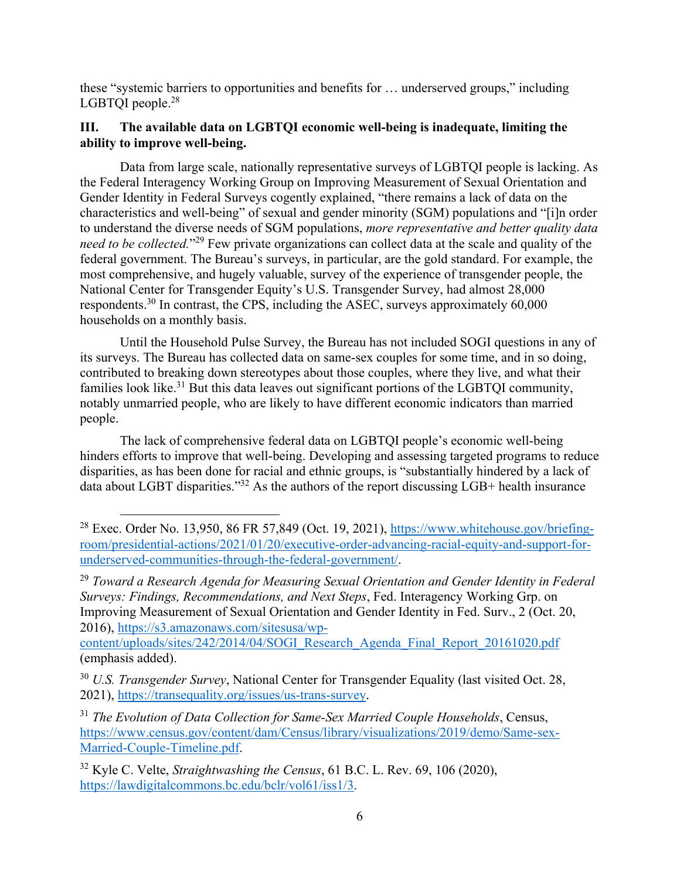these "systemic barriers to opportunities and benefits for … underserved groups," including LGBTQI people.<sup>28</sup>

# **III. The available data on LGBTQI economic well-being is inadequate, limiting the ability to improve well-being.**

Data from large scale, nationally representative surveys of LGBTQI people is lacking. As the Federal Interagency Working Group on Improving Measurement of Sexual Orientation and Gender Identity in Federal Surveys cogently explained, "there remains a lack of data on the characteristics and well-being" of sexual and gender minority (SGM) populations and "[i]n order to understand the diverse needs of SGM populations, *more representative and better quality data need to be collected.*"29 Few private organizations can collect data at the scale and quality of the federal government. The Bureau's surveys, in particular, are the gold standard. For example, the most comprehensive, and hugely valuable, survey of the experience of transgender people, the National Center for Transgender Equity's U.S. Transgender Survey, had almost 28,000 respondents.<sup>30</sup> In contrast, the CPS, including the ASEC, surveys approximately  $60,000$ households on a monthly basis.

Until the Household Pulse Survey, the Bureau has not included SOGI questions in any of its surveys. The Bureau has collected data on same-sex couples for some time, and in so doing, contributed to breaking down stereotypes about those couples, where they live, and what their families look like.<sup>31</sup> But this data leaves out significant portions of the LGBTQI community, notably unmarried people, who are likely to have different economic indicators than married people.

The lack of comprehensive federal data on LGBTQI people's economic well-being hinders efforts to improve that well-being. Developing and assessing targeted programs to reduce disparities, as has been done for racial and ethnic groups, is "substantially hindered by a lack of data about LGBT disparities."32 As the authors of the report discussing LGB+ health insurance

<sup>29</sup> *Toward a Research Agenda for Measuring Sexual Orientation and Gender Identity in Federal Surveys: Findings, Recommendations, and Next Steps*, Fed. Interagency Working Grp. on Improving Measurement of Sexual Orientation and Gender Identity in Fed. Surv., 2 (Oct. 20, 2016), https://s3.amazonaws.com/sitesusa/wp-

content/uploads/sites/242/2014/04/SOGI\_Research\_Agenda\_Final\_Report\_20161020.pdf (emphasis added).

<sup>30</sup> *U.S. Transgender Survey*, National Center for Transgender Equality (last visited Oct. 28, 2021), https://transequality.org/issues/us-trans-survey.

<sup>31</sup> *The Evolution of Data Collection for Same-Sex Married Couple Households*, Census, https://www.census.gov/content/dam/Census/library/visualizations/2019/demo/Same-sex-Married-Couple-Timeline.pdf.

32 Kyle C. Velte, *Straightwashing the Census*, 61 B.C. L. Rev. 69, 106 (2020), https://lawdigitalcommons.bc.edu/bclr/vol61/iss1/3.

 $28$  Exec. Order No. 13,950, 86 FR 57,849 (Oct. 19, 2021), https://www.whitehouse.gov/briefingroom/presidential-actions/2021/01/20/executive-order-advancing-racial-equity-and-support-forunderserved-communities-through-the-federal-government/.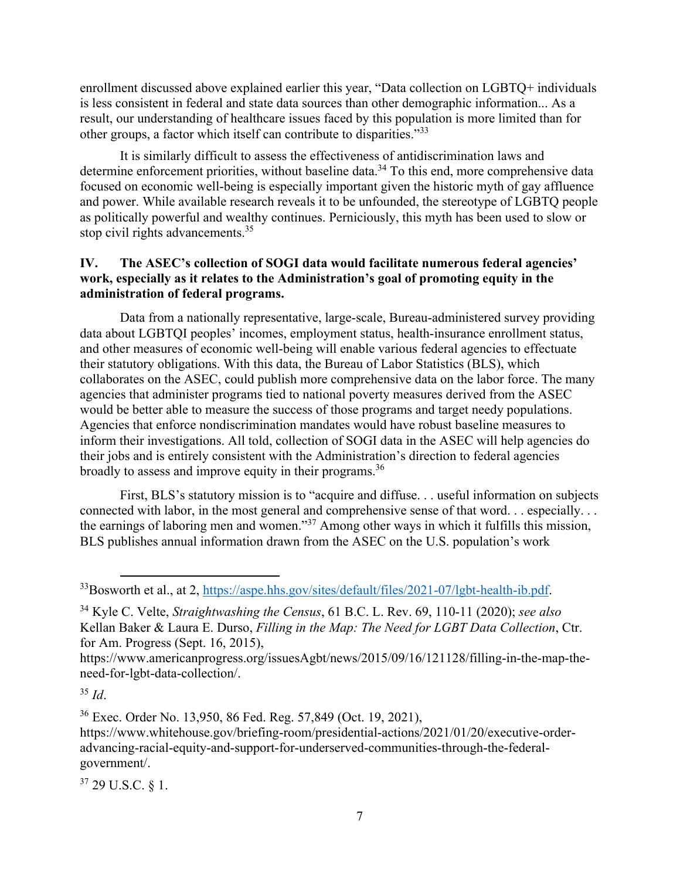enrollment discussed above explained earlier this year, "Data collection on LGBTQ+ individuals is less consistent in federal and state data sources than other demographic information... As a result, our understanding of healthcare issues faced by this population is more limited than for other groups, a factor which itself can contribute to disparities."33

It is similarly difficult to assess the effectiveness of antidiscrimination laws and determine enforcement priorities, without baseline data.<sup>34</sup> To this end, more comprehensive data focused on economic well-being is especially important given the historic myth of gay affluence and power. While available research reveals it to be unfounded, the stereotype of LGBTQ people as politically powerful and wealthy continues. Perniciously, this myth has been used to slow or stop civil rights advancements.<sup>35</sup>

### **IV. The ASEC's collection of SOGI data would facilitate numerous federal agencies' work, especially as it relates to the Administration's goal of promoting equity in the administration of federal programs.**

Data from a nationally representative, large-scale, Bureau-administered survey providing data about LGBTQI peoples' incomes, employment status, health-insurance enrollment status, and other measures of economic well-being will enable various federal agencies to effectuate their statutory obligations. With this data, the Bureau of Labor Statistics (BLS), which collaborates on the ASEC, could publish more comprehensive data on the labor force. The many agencies that administer programs tied to national poverty measures derived from the ASEC would be better able to measure the success of those programs and target needy populations. Agencies that enforce nondiscrimination mandates would have robust baseline measures to inform their investigations. All told, collection of SOGI data in the ASEC will help agencies do their jobs and is entirely consistent with the Administration's direction to federal agencies broadly to assess and improve equity in their programs.<sup>36</sup>

First, BLS's statutory mission is to "acquire and diffuse. . . useful information on subjects connected with labor, in the most general and comprehensive sense of that word. . . especially. . . the earnings of laboring men and women."37 Among other ways in which it fulfills this mission, BLS publishes annual information drawn from the ASEC on the U.S. population's work

<sup>35</sup> *Id*.

36 Exec. Order No. 13,950, 86 Fed. Reg. 57,849 (Oct. 19, 2021),

https://www.whitehouse.gov/briefing-room/presidential-actions/2021/01/20/executive-orderadvancing-racial-equity-and-support-for-underserved-communities-through-the-federalgovernment/.

37 29 U.S.C. § 1.

<sup>&</sup>lt;sup>33</sup>Bosworth et al., at 2, https://aspe.hhs.gov/sites/default/files/2021-07/lgbt-health-ib.pdf.

<sup>34</sup> Kyle C. Velte, *Straightwashing the Census*, 61 B.C. L. Rev. 69, 110-11 (2020); *see also* Kellan Baker & Laura E. Durso, *Filling in the Map: The Need for LGBT Data Collection*, Ctr. for Am. Progress (Sept. 16, 2015),

https://www.americanprogress.org/issuesAgbt/news/2015/09/16/121128/filling-in-the-map-theneed-for-lgbt-data-collection/.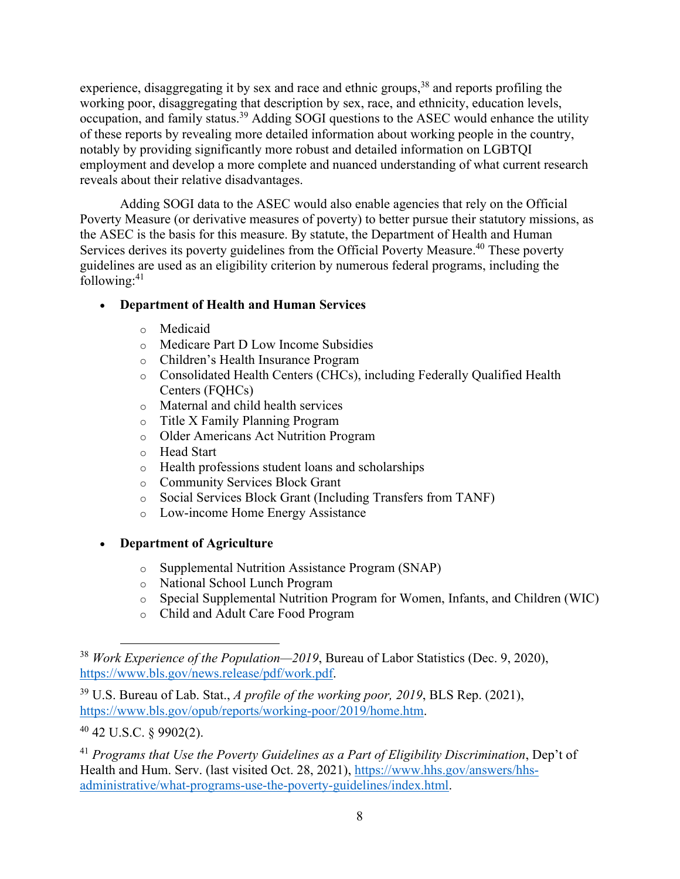experience, disaggregating it by sex and race and ethnic groups,<sup>38</sup> and reports profiling the working poor, disaggregating that description by sex, race, and ethnicity, education levels, occupation, and family status.39 Adding SOGI questions to the ASEC would enhance the utility of these reports by revealing more detailed information about working people in the country, notably by providing significantly more robust and detailed information on LGBTQI employment and develop a more complete and nuanced understanding of what current research reveals about their relative disadvantages.

 Adding SOGI data to the ASEC would also enable agencies that rely on the Official Poverty Measure (or derivative measures of poverty) to better pursue their statutory missions, as the ASEC is the basis for this measure. By statute, the Department of Health and Human Services derives its poverty guidelines from the Official Poverty Measure.<sup>40</sup> These poverty guidelines are used as an eligibility criterion by numerous federal programs, including the following: $41$ 

# **Department of Health and Human Services**

- o Medicaid
- o Medicare Part D Low Income Subsidies
- o Children's Health Insurance Program
- o Consolidated Health Centers (CHCs), including Federally Qualified Health Centers (FQHCs)
- o Maternal and child health services
- o Title X Family Planning Program
- o Older Americans Act Nutrition Program
- o Head Start
- o Health professions student loans and scholarships
- o Community Services Block Grant
- o Social Services Block Grant (Including Transfers from TANF)
- o Low-income Home Energy Assistance
- **Department of Agriculture**
	- o Supplemental Nutrition Assistance Program (SNAP)
	- o National School Lunch Program
	- o Special Supplemental Nutrition Program for Women, Infants, and Children (WIC)
	- o Child and Adult Care Food Program

40 42 U.S.C. § 9902(2).

<sup>41</sup> *Programs that Use the Poverty Guidelines as a Part of Eligibility Discrimination*, Dep't of Health and Hum. Serv. (last visited Oct. 28, 2021), https://www.hhs.gov/answers/hhsadministrative/what-programs-use-the-poverty-guidelines/index.html.

<sup>38</sup> *Work Experience of the Population—2019*, Bureau of Labor Statistics (Dec. 9, 2020), https://www.bls.gov/news.release/pdf/work.pdf.

<sup>39</sup> U.S. Bureau of Lab. Stat., *A profile of the working poor, 2019*, BLS Rep. (2021), https://www.bls.gov/opub/reports/working-poor/2019/home.htm.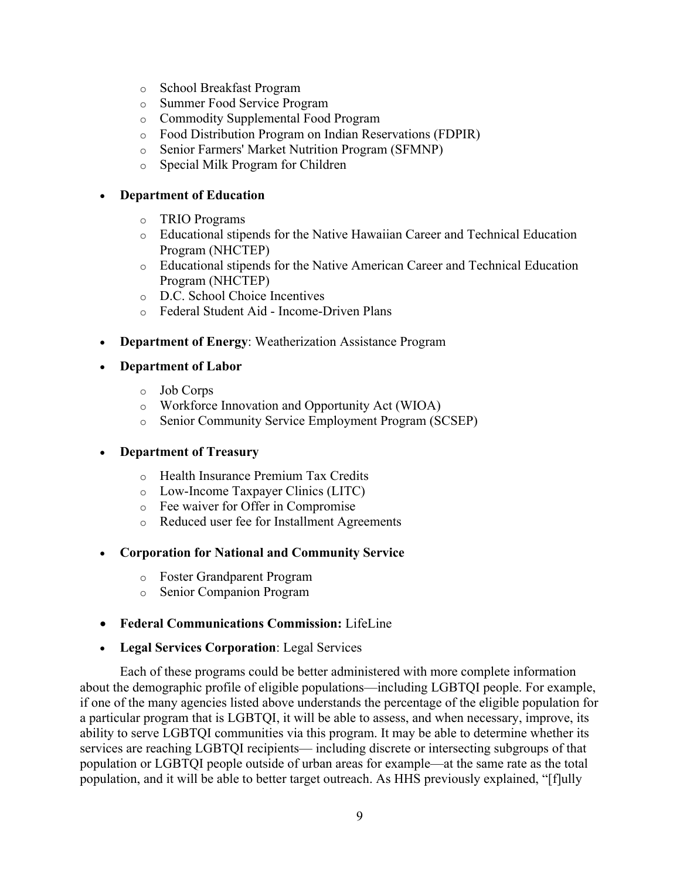- o School Breakfast Program
- o Summer Food Service Program
- o Commodity Supplemental Food Program
- o Food Distribution Program on Indian Reservations (FDPIR)
- o Senior Farmers' Market Nutrition Program (SFMNP)
- o Special Milk Program for Children

#### **Department of Education**

- o TRIO Programs
- o Educational stipends for the Native Hawaiian Career and Technical Education Program (NHCTEP)
- o Educational stipends for the Native American Career and Technical Education Program (NHCTEP)
- o D.C. School Choice Incentives
- o Federal Student Aid Income-Driven Plans
- **Department of Energy**: Weatherization Assistance Program
- **Department of Labor**
	- o Job Corps
	- o Workforce Innovation and Opportunity Act (WIOA)
	- o Senior Community Service Employment Program (SCSEP)

### **Department of Treasury**

- o Health Insurance Premium Tax Credits
- o Low-Income Taxpayer Clinics (LITC)
- o Fee waiver for Offer in Compromise
- o Reduced user fee for Installment Agreements

### **Corporation for National and Community Service**

- o Foster Grandparent Program
- o Senior Companion Program
- **Federal Communications Commission:** LifeLine
- **Legal Services Corporation**: Legal Services

Each of these programs could be better administered with more complete information about the demographic profile of eligible populations—including LGBTQI people. For example, if one of the many agencies listed above understands the percentage of the eligible population for a particular program that is LGBTQI, it will be able to assess, and when necessary, improve, its ability to serve LGBTQI communities via this program. It may be able to determine whether its services are reaching LGBTQI recipients— including discrete or intersecting subgroups of that population or LGBTQI people outside of urban areas for example—at the same rate as the total population, and it will be able to better target outreach. As HHS previously explained, "[f]ully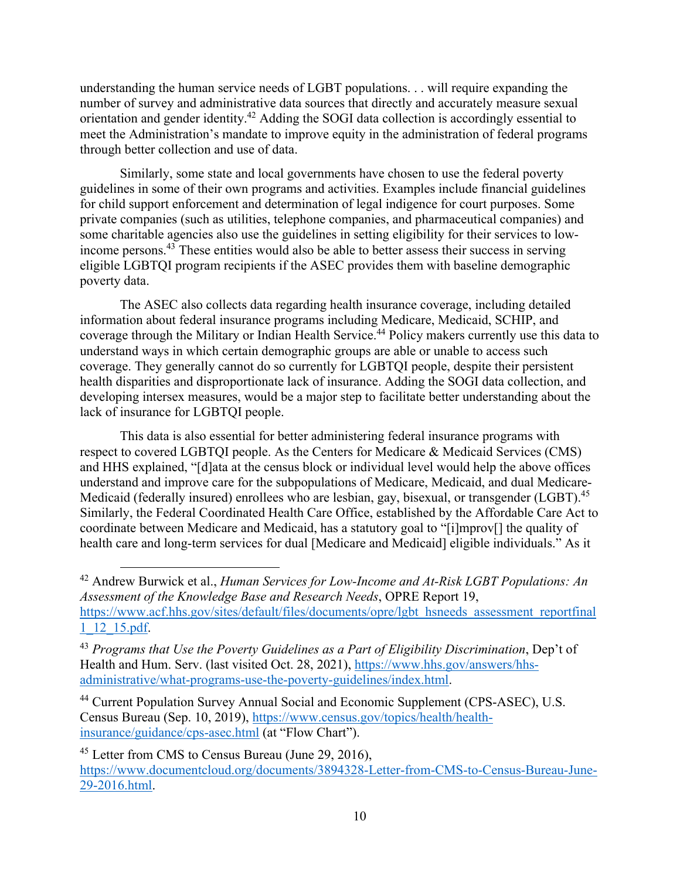understanding the human service needs of LGBT populations. . . will require expanding the number of survey and administrative data sources that directly and accurately measure sexual orientation and gender identity.<sup>42</sup> Adding the SOGI data collection is accordingly essential to meet the Administration's mandate to improve equity in the administration of federal programs through better collection and use of data.

Similarly, some state and local governments have chosen to use the federal poverty guidelines in some of their own programs and activities. Examples include financial guidelines for child support enforcement and determination of legal indigence for court purposes. Some private companies (such as utilities, telephone companies, and pharmaceutical companies) and some charitable agencies also use the guidelines in setting eligibility for their services to lowincome persons.<sup>43</sup> These entities would also be able to better assess their success in serving eligible LGBTQI program recipients if the ASEC provides them with baseline demographic poverty data.

The ASEC also collects data regarding health insurance coverage, including detailed information about federal insurance programs including Medicare, Medicaid, SCHIP, and coverage through the Military or Indian Health Service.<sup>44</sup> Policy makers currently use this data to understand ways in which certain demographic groups are able or unable to access such coverage. They generally cannot do so currently for LGBTQI people, despite their persistent health disparities and disproportionate lack of insurance. Adding the SOGI data collection, and developing intersex measures, would be a major step to facilitate better understanding about the lack of insurance for LGBTQI people.

This data is also essential for better administering federal insurance programs with respect to covered LGBTQI people. As the Centers for Medicare & Medicaid Services (CMS) and HHS explained, "[d]ata at the census block or individual level would help the above offices understand and improve care for the subpopulations of Medicare, Medicaid, and dual Medicare-Medicaid (federally insured) enrollees who are lesbian, gay, bisexual, or transgender (LGBT).<sup>45</sup> Similarly, the Federal Coordinated Health Care Office, established by the Affordable Care Act to coordinate between Medicare and Medicaid, has a statutory goal to "[i]mprov[] the quality of health care and long-term services for dual [Medicare and Medicaid] eligible individuals." As it

42 Andrew Burwick et al., *Human Services for Low-Income and At-Risk LGBT Populations: An Assessment of the Knowledge Base and Research Needs*, OPRE Report 19, https://www.acf.hhs.gov/sites/default/files/documents/opre/lgbt\_hsneeds\_assessment\_reportfinal 1\_12\_15.pdf.

<sup>43</sup> *Programs that Use the Poverty Guidelines as a Part of Eligibility Discrimination*, Dep't of Health and Hum. Serv. (last visited Oct. 28, 2021), https://www.hhs.gov/answers/hhsadministrative/what-programs-use-the-poverty-guidelines/index.html.

44 Current Population Survey Annual Social and Economic Supplement (CPS-ASEC), U.S. Census Bureau (Sep. 10, 2019), https://www.census.gov/topics/health/healthinsurance/guidance/cps-asec.html (at "Flow Chart").

<sup>45</sup> Letter from CMS to Census Bureau (June 29, 2016), https://www.documentcloud.org/documents/3894328-Letter-from-CMS-to-Census-Bureau-June-29-2016.html.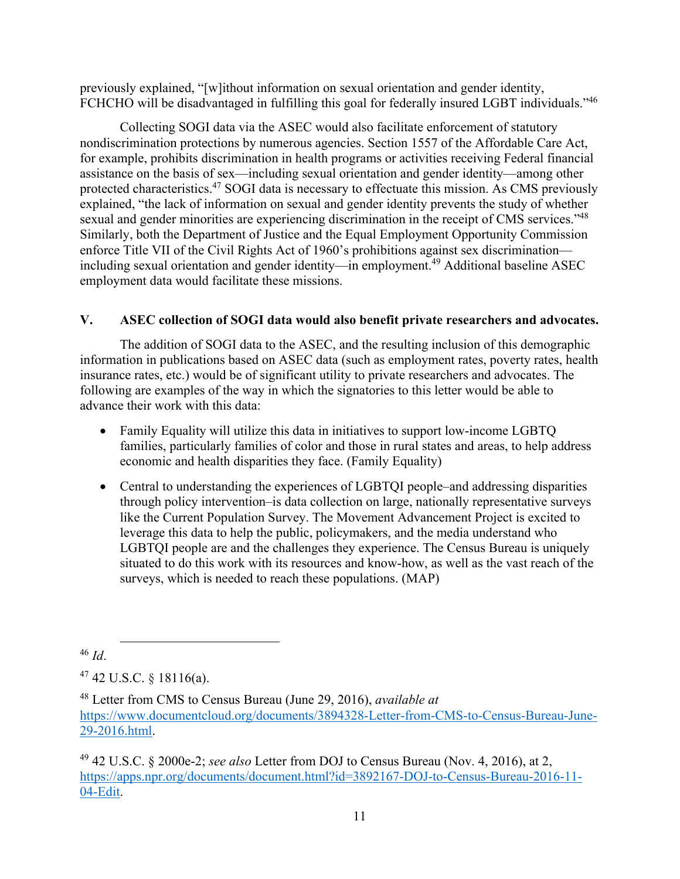previously explained, "[w]ithout information on sexual orientation and gender identity, FCHCHO will be disadvantaged in fulfilling this goal for federally insured LGBT individuals."<sup>46</sup>

Collecting SOGI data via the ASEC would also facilitate enforcement of statutory nondiscrimination protections by numerous agencies. Section 1557 of the Affordable Care Act, for example, prohibits discrimination in health programs or activities receiving Federal financial assistance on the basis of sex—including sexual orientation and gender identity—among other protected characteristics.47 SOGI data is necessary to effectuate this mission. As CMS previously explained, "the lack of information on sexual and gender identity prevents the study of whether sexual and gender minorities are experiencing discrimination in the receipt of CMS services."<sup>48</sup> Similarly, both the Department of Justice and the Equal Employment Opportunity Commission enforce Title VII of the Civil Rights Act of 1960's prohibitions against sex discrimination including sexual orientation and gender identity—in employment.<sup>49</sup> Additional baseline ASEC employment data would facilitate these missions.

# **V. ASEC collection of SOGI data would also benefit private researchers and advocates.**

The addition of SOGI data to the ASEC, and the resulting inclusion of this demographic information in publications based on ASEC data (such as employment rates, poverty rates, health insurance rates, etc.) would be of significant utility to private researchers and advocates. The following are examples of the way in which the signatories to this letter would be able to advance their work with this data:

- Family Equality will utilize this data in initiatives to support low-income LGBTQ families, particularly families of color and those in rural states and areas, to help address economic and health disparities they face. (Family Equality)
- Central to understanding the experiences of LGBTQI people–and addressing disparities through policy intervention–is data collection on large, nationally representative surveys like the Current Population Survey. The Movement Advancement Project is excited to leverage this data to help the public, policymakers, and the media understand who LGBTQI people are and the challenges they experience. The Census Bureau is uniquely situated to do this work with its resources and know-how, as well as the vast reach of the surveys, which is needed to reach these populations. (MAP)

<sup>46</sup> *Id*.

 $47$  42 U.S.C. § 18116(a).

49 42 U.S.C. § 2000e-2; *see also* Letter from DOJ to Census Bureau (Nov. 4, 2016), at 2, https://apps.npr.org/documents/document.html?id=3892167-DOJ-to-Census-Bureau-2016-11- 04-Edit.

<sup>48</sup> Letter from CMS to Census Bureau (June 29, 2016), *available at*  https://www.documentcloud.org/documents/3894328-Letter-from-CMS-to-Census-Bureau-June-29-2016.html.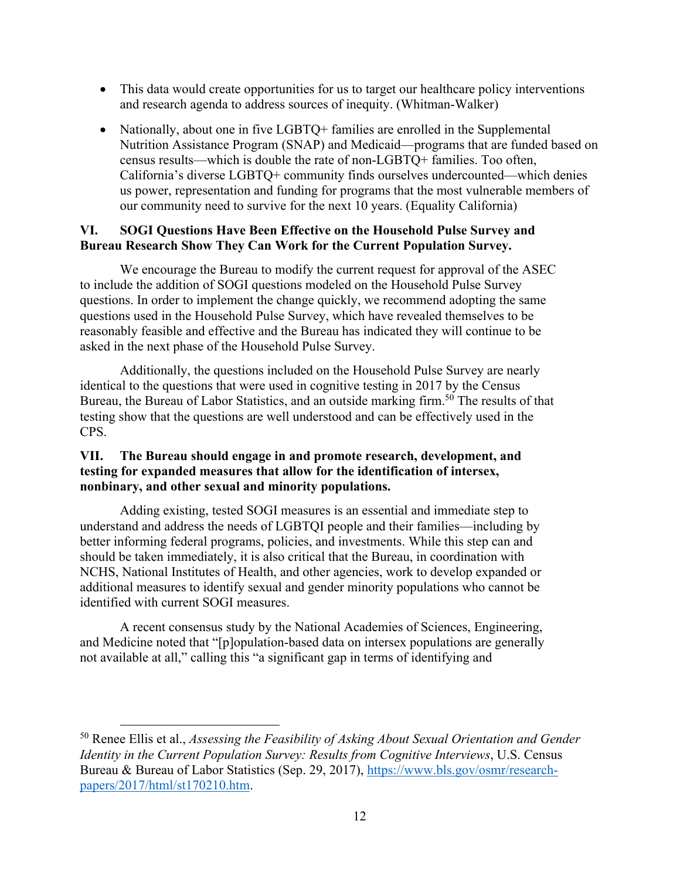- This data would create opportunities for us to target our healthcare policy interventions and research agenda to address sources of inequity. (Whitman-Walker)
- Nationally, about one in five LGBTQ+ families are enrolled in the Supplemental Nutrition Assistance Program (SNAP) and Medicaid—programs that are funded based on census results—which is double the rate of non-LGBTQ+ families. Too often, California's diverse LGBTQ+ community finds ourselves undercounted—which denies us power, representation and funding for programs that the most vulnerable members of our community need to survive for the next 10 years. (Equality California)

#### **VI. SOGI Questions Have Been Effective on the Household Pulse Survey and Bureau Research Show They Can Work for the Current Population Survey.**

We encourage the Bureau to modify the current request for approval of the ASEC to include the addition of SOGI questions modeled on the Household Pulse Survey questions. In order to implement the change quickly, we recommend adopting the same questions used in the Household Pulse Survey, which have revealed themselves to be reasonably feasible and effective and the Bureau has indicated they will continue to be asked in the next phase of the Household Pulse Survey.

Additionally, the questions included on the Household Pulse Survey are nearly identical to the questions that were used in cognitive testing in 2017 by the Census Bureau, the Bureau of Labor Statistics, and an outside marking firm.<sup>50</sup> The results of that testing show that the questions are well understood and can be effectively used in the CPS.

#### **VII. The Bureau should engage in and promote research, development, and testing for expanded measures that allow for the identification of intersex, nonbinary, and other sexual and minority populations.**

Adding existing, tested SOGI measures is an essential and immediate step to understand and address the needs of LGBTQI people and their families—including by better informing federal programs, policies, and investments. While this step can and should be taken immediately, it is also critical that the Bureau, in coordination with NCHS, National Institutes of Health, and other agencies, work to develop expanded or additional measures to identify sexual and gender minority populations who cannot be identified with current SOGI measures.

A recent consensus study by the National Academies of Sciences, Engineering, and Medicine noted that "[p]opulation-based data on intersex populations are generally not available at all," calling this "a significant gap in terms of identifying and

<sup>50</sup> Renee Ellis et al., *Assessing the Feasibility of Asking About Sexual Orientation and Gender Identity in the Current Population Survey: Results from Cognitive Interviews*, U.S. Census Bureau & Bureau of Labor Statistics (Sep. 29, 2017), https://www.bls.gov/osmr/researchpapers/2017/html/st170210.htm.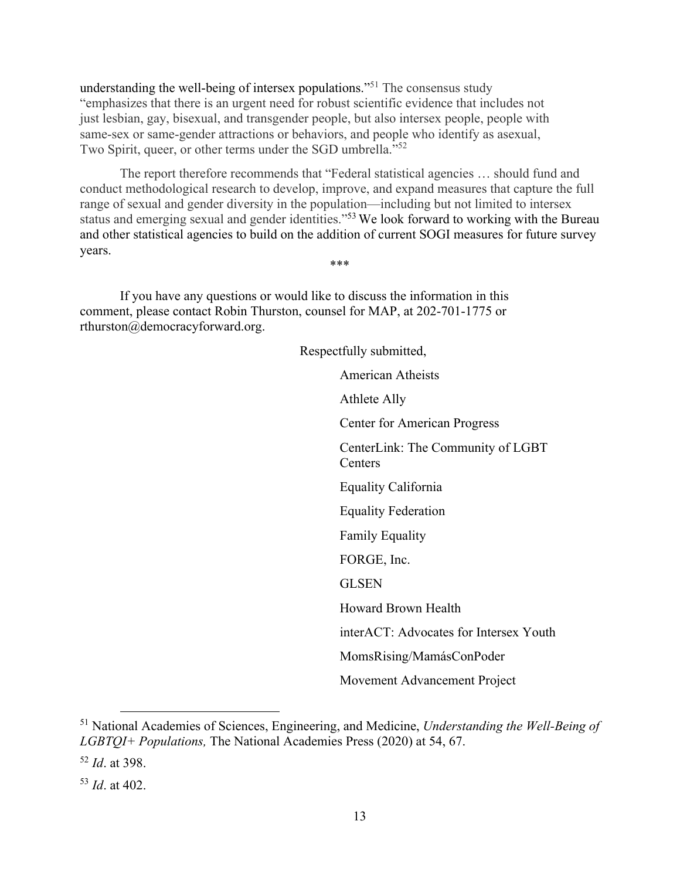understanding the well-being of intersex populations."<sup>51</sup> The consensus study "emphasizes that there is an urgent need for robust scientific evidence that includes not just lesbian, gay, bisexual, and transgender people, but also intersex people, people with same-sex or same-gender attractions or behaviors, and people who identify as asexual, Two Spirit, queer, or other terms under the SGD umbrella."<sup>52</sup>

The report therefore recommends that "Federal statistical agencies … should fund and conduct methodological research to develop, improve, and expand measures that capture the full range of sexual and gender diversity in the population—including but not limited to intersex status and emerging sexual and gender identities."53 We look forward to working with the Bureau and other statistical agencies to build on the addition of current SOGI measures for future survey years. \*\*\*

If you have any questions or would like to discuss the information in this comment, please contact Robin Thurston, counsel for MAP, at 202-701-1775 or rthurston@democracyforward.org.

> Respectfully submitted, American Atheists Athlete Ally Center for American Progress CenterLink: The Community of LGBT **Centers** Equality California Equality Federation Family Equality FORGE, Inc. GLSEN Howard Brown Health interACT: Advocates for Intersex Youth MomsRising/MamásConPoder Movement Advancement Project

<sup>51</sup> National Academies of Sciences, Engineering, and Medicine, *Understanding the Well-Being of LGBTQI+ Populations,* The National Academies Press (2020) at 54, 67.

<sup>52</sup> *Id*. at 398.

<sup>53</sup> *Id*. at 402.